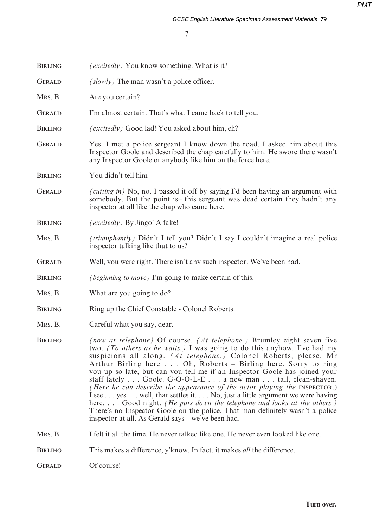| <b>BIRLING</b> | <i>(excitedly)</i> You know something. What is it?                                                                                                                                                                                                                                                                                                                                                                                                                                                                                                                                                                                                                                                                                                                                                               |
|----------------|------------------------------------------------------------------------------------------------------------------------------------------------------------------------------------------------------------------------------------------------------------------------------------------------------------------------------------------------------------------------------------------------------------------------------------------------------------------------------------------------------------------------------------------------------------------------------------------------------------------------------------------------------------------------------------------------------------------------------------------------------------------------------------------------------------------|
| <b>GERALD</b>  | $(slowly)$ The man wasn't a police officer.                                                                                                                                                                                                                                                                                                                                                                                                                                                                                                                                                                                                                                                                                                                                                                      |
| MRS. B.        | Are you certain?                                                                                                                                                                                                                                                                                                                                                                                                                                                                                                                                                                                                                                                                                                                                                                                                 |
| <b>GERALD</b>  | I'm almost certain. That's what I came back to tell you.                                                                                                                                                                                                                                                                                                                                                                                                                                                                                                                                                                                                                                                                                                                                                         |
| <b>BIRLING</b> | <i>(excitedly)</i> Good lad! You asked about him, eh?                                                                                                                                                                                                                                                                                                                                                                                                                                                                                                                                                                                                                                                                                                                                                            |
| <b>GERALD</b>  | Yes. I met a police sergeant I know down the road. I asked him about this<br>Inspector Goole and described the chap carefully to him. He swore there wasn't<br>any Inspector Goole or anybody like him on the force here.                                                                                                                                                                                                                                                                                                                                                                                                                                                                                                                                                                                        |
| <b>BIRLING</b> | You didn't tell him-                                                                                                                                                                                                                                                                                                                                                                                                                                                                                                                                                                                                                                                                                                                                                                                             |
| <b>GERALD</b>  | (cutting in) No, no. I passed it off by saying I'd been having an argument with<br>somebody. But the point is this sergeant was dead certain they hadn't any<br>inspector at all like the chap who came here.                                                                                                                                                                                                                                                                                                                                                                                                                                                                                                                                                                                                    |
| <b>BIRLING</b> | $(excitedly)$ By Jingo! A fake!                                                                                                                                                                                                                                                                                                                                                                                                                                                                                                                                                                                                                                                                                                                                                                                  |
| MRS. B.        | <i>(triumphantly)</i> Didn't I tell you? Didn't I say I couldn't imagine a real police<br>inspector talking like that to us?                                                                                                                                                                                                                                                                                                                                                                                                                                                                                                                                                                                                                                                                                     |
| <b>GERALD</b>  | Well, you were right. There isn't any such inspector. We've been had.                                                                                                                                                                                                                                                                                                                                                                                                                                                                                                                                                                                                                                                                                                                                            |
| <b>BIRLING</b> | <i>(beginning to move)</i> I'm going to make certain of this.                                                                                                                                                                                                                                                                                                                                                                                                                                                                                                                                                                                                                                                                                                                                                    |
| MRS. B.        | What are you going to do?                                                                                                                                                                                                                                                                                                                                                                                                                                                                                                                                                                                                                                                                                                                                                                                        |
| <b>BIRLING</b> | Ring up the Chief Constable - Colonel Roberts.                                                                                                                                                                                                                                                                                                                                                                                                                                                                                                                                                                                                                                                                                                                                                                   |
| MRS. B.        | Careful what you say, dear.                                                                                                                                                                                                                                                                                                                                                                                                                                                                                                                                                                                                                                                                                                                                                                                      |
| <b>BIRLING</b> | (now at telephone) Of course. (At telephone.) Brumley eight seven five<br>two. (To others as he waits.) I was going to do this anyhow. I've had my<br>suspicions all along. (At telephone.) Colonel Roberts, please. Mr<br>Arthur Birling here Oh, Roberts - Birling here. Sorry to ring<br>you up so late, but can you tell me if an Inspector Goole has joined your<br>staff lately Goole. G-O-O-L-E a new man tall, clean-shaven.<br>(Here he can describe the appearance of the actor playing the INSPECTOR.)<br>I see yes well, that settles it. No, just a little argument we were having<br>here Good night. (He puts down the telephone and looks at the others.)<br>There's no Inspector Goole on the police. That man definitely wasn't a police<br>inspector at all. As Gerald says – we've been had. |
| MRS. B.        | I felt it all the time. He never talked like one. He never even looked like one.                                                                                                                                                                                                                                                                                                                                                                                                                                                                                                                                                                                                                                                                                                                                 |
| <b>BIRLING</b> | This makes a difference, y'know. In fact, it makes <i>all</i> the difference.                                                                                                                                                                                                                                                                                                                                                                                                                                                                                                                                                                                                                                                                                                                                    |
| <b>GERALD</b>  | Of course!                                                                                                                                                                                                                                                                                                                                                                                                                                                                                                                                                                                                                                                                                                                                                                                                       |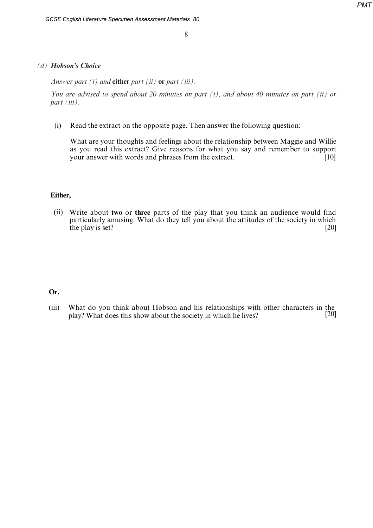### *(d) Hobson's Choice*

*Answer part (i) and* **either** *part (ii)* **or** *part (iii).*

*You are advised to spend about 20 minutes on part (i), and about 40 minutes on part (ii) or part (iii).*

(i) Read the extract on the opposite page. Then answer the following question:

What are your thoughts and feelings about the relationship between Maggie and Willie as you read this extract? Give reasons for what you say and remember to support your answer with words and phrases from the extract. [10] your answer with words and phrases from the extract.

## **Either,**

Write about **two** or **three** parts of the play that you think an audience would find (ii) particularly amusing. What do they tell you about the attitudes of the society in which the play is set? [20] the play is set?

# **Or,**

(iii) What do you think about Hobson and his relationships with other characters in the play? What does this show about the society in which he lives? [20]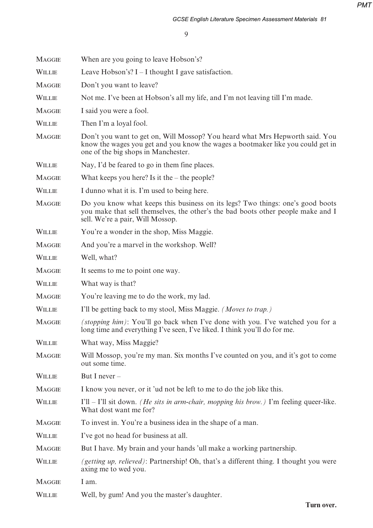| <b>MAGGIE</b> | When are you going to leave Hobson's?                                                                                                                                                                  |
|---------------|--------------------------------------------------------------------------------------------------------------------------------------------------------------------------------------------------------|
| <b>WILLIE</b> | Leave Hobson's? $I - I$ thought I gave satisfaction.                                                                                                                                                   |
| <b>MAGGIE</b> | Don't you want to leave?                                                                                                                                                                               |
| <b>WILLIE</b> | Not me. I've been at Hobson's all my life, and I'm not leaving till I'm made.                                                                                                                          |
| <b>MAGGIE</b> | I said you were a fool.                                                                                                                                                                                |
| <b>WILLIE</b> | Then I'm a loyal fool.                                                                                                                                                                                 |
| <b>MAGGIE</b> | Don't you want to get on, Will Mossop? You heard what Mrs Hepworth said. You<br>know the wages you get and you know the wages a bootmaker like you could get in<br>one of the big shops in Manchester. |
| <b>WILLIE</b> | Nay, I'd be feared to go in them fine places.                                                                                                                                                          |
| <b>MAGGIE</b> | What keeps you here? Is it the $-$ the people?                                                                                                                                                         |
| <b>WILLIE</b> | I dunno what it is. I'm used to being here.                                                                                                                                                            |
| <b>MAGGIE</b> | Do you know what keeps this business on its legs? Two things: one's good boots<br>you make that sell themselves, the other's the bad boots other people make and I<br>sell. We're a pair, Will Mossop. |
| <b>WILLIE</b> | You're a wonder in the shop, Miss Maggie.                                                                                                                                                              |
| <b>MAGGIE</b> | And you're a marvel in the workshop. Well?                                                                                                                                                             |
| <b>WILLIE</b> | Well, what?                                                                                                                                                                                            |
| <b>MAGGIE</b> | It seems to me to point one way.                                                                                                                                                                       |
| <b>WILLIE</b> | What way is that?                                                                                                                                                                                      |
| <b>MAGGIE</b> | You're leaving me to do the work, my lad.                                                                                                                                                              |
| <b>WILLIE</b> | I'll be getting back to my stool, Miss Maggie. <i>(Moves to trap.)</i>                                                                                                                                 |
| <b>MAGGIE</b> | <i>(stopping him)</i> : You'll go back when I've done with you. I've watched you for a<br>long time and everything I've seen, I've liked. I think you'll do for me.                                    |
| <b>WILLIE</b> | What way, Miss Maggie?                                                                                                                                                                                 |
| <b>MAGGIE</b> | Will Mossop, you're my man. Six months I've counted on you, and it's got to come<br>out some time.                                                                                                     |
| <b>WILLIE</b> | But I never $-$                                                                                                                                                                                        |
| <b>MAGGIE</b> | I know you never, or it 'ud not be left to me to do the job like this.                                                                                                                                 |
| <b>WILLIE</b> | $I'll$ – I'll sit down. ( <i>He sits in arm-chair, mopping his brow.</i> ) I'm feeling queer-like.<br>What dost want me for?                                                                           |
| <b>MAGGIE</b> | To invest in. You're a business idea in the shape of a man.                                                                                                                                            |
| <b>WILLIE</b> | I've got no head for business at all.                                                                                                                                                                  |
| <b>MAGGIE</b> | But I have. My brain and your hands 'ull make a working partnership.                                                                                                                                   |
| <b>WILLIE</b> | <i>(getting up, relieved)</i> : Partnership! Oh, that's a different thing. I thought you were<br>axing me to wed you.                                                                                  |
| <b>MAGGIE</b> | I am.                                                                                                                                                                                                  |
| <b>WILLIE</b> | Well, by gum! And you the master's daughter.                                                                                                                                                           |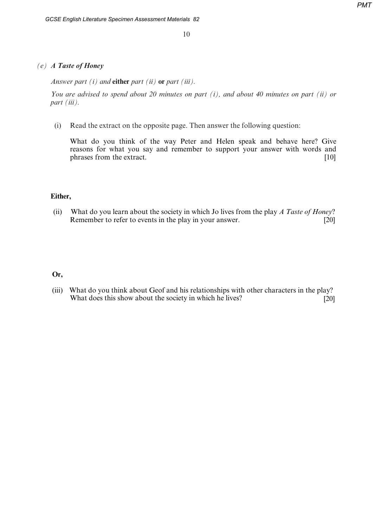### *(e) A Taste of Honey*

*Answer part (i) and* **either** *part (ii)* **or** *part (iii).*

*You are advised to spend about 20 minutes on part (i), and about 40 minutes on part (ii) or part (iii).*

(i) Read the extract on the opposite page. Then answer the following question:

What do you think of the way Peter and Helen speak and behave here? Give reasons for what you say and remember to support your answer with words and phrases from the extract. [10] phrases from the extract.

## **Either,**

(ii) What do you learn about the society in which Jo lives from the play *A Taste of Honey*? Remember to refer to events in the play in your answer. [20]

# **Or,**

(iii) What do you think about Geof and his relationships with other characters in the play? What does this show about the society in which he lives? [20]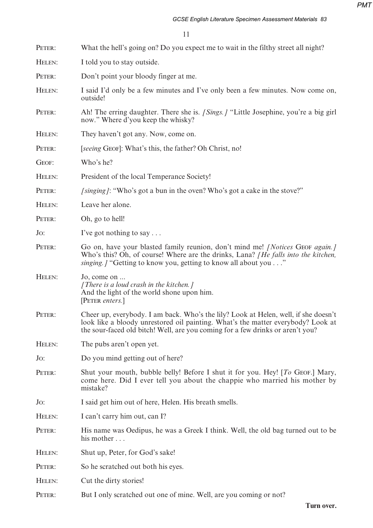| PETER: | What the hell's going on? Do you expect me to wait in the filthy street all night?                                                                                                                                                                         |
|--------|------------------------------------------------------------------------------------------------------------------------------------------------------------------------------------------------------------------------------------------------------------|
| HELEN: | I told you to stay outside.                                                                                                                                                                                                                                |
| PETER: | Don't point your bloody finger at me.                                                                                                                                                                                                                      |
| HELEN: | I said I'd only be a few minutes and I've only been a few minutes. Now come on,<br>outside!                                                                                                                                                                |
| PETER: | Ah! The erring daughter. There she is. <i>[Sings.]</i> "Little Josephine, you're a big girl<br>now." Where d'you keep the whisky?                                                                                                                          |
| HELEN: | They haven't got any. Now, come on.                                                                                                                                                                                                                        |
| PETER: | [seeing GEOF]: What's this, the father? Oh Christ, no!                                                                                                                                                                                                     |
| GEOF:  | Who's he?                                                                                                                                                                                                                                                  |
| HELEN: | President of the local Temperance Society!                                                                                                                                                                                                                 |
| PETER: | <i>[singing]</i> : "Who's got a bun in the oven? Who's got a cake in the stove?"                                                                                                                                                                           |
| HELEN: | Leave her alone.                                                                                                                                                                                                                                           |
| PETER: | Oh, go to hell!                                                                                                                                                                                                                                            |
| Jo:    | I've got nothing to say $\dots$                                                                                                                                                                                                                            |
| PETER: | Go on, have your blasted family reunion, don't mind me! <i>[Notices GEOF again.]</i><br>Who's this? Oh, of course! Where are the drinks, Lana? <i>He falls into the kitchen</i> ,<br><i>singing.]</i> "Getting to know you, getting to know all about you" |
| HELEN: | Jo, come on<br>[There is a loud crash in the kitchen.]<br>And the light of the world shone upon him.<br>[PETER enters.]                                                                                                                                    |
| PETER: | Cheer up, everybody. I am back. Who's the lily? Look at Helen, well, if she doesn't<br>look like a bloody unrestored oil painting. What's the matter everybody? Look at<br>the sour-faced old bitch! Well, are you coming for a few drinks or aren't you?  |
| HELEN: | The pubs aren't open yet.                                                                                                                                                                                                                                  |
| Jo:    | Do you mind getting out of here?                                                                                                                                                                                                                           |
| PETER: | Shut your mouth, bubble belly! Before I shut it for you. Hey! [To GEOF.] Mary,<br>come here. Did I ever tell you about the chappie who married his mother by<br>mistake?                                                                                   |
| Jo:    | I said get him out of here, Helen. His breath smells.                                                                                                                                                                                                      |
| HELEN: | I can't carry him out, can I?                                                                                                                                                                                                                              |
| PETER: | His name was Oedipus, he was a Greek I think. Well, the old bag turned out to be<br>his mother                                                                                                                                                             |
| HELEN: | Shut up, Peter, for God's sake!                                                                                                                                                                                                                            |
| PETER: | So he scratched out both his eyes.                                                                                                                                                                                                                         |
| HELEN: | Cut the dirty stories!                                                                                                                                                                                                                                     |
| PETER: | But I only scratched out one of mine. Well, are you coming or not?                                                                                                                                                                                         |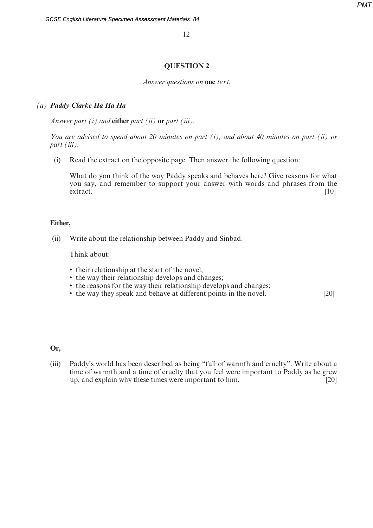# **QUESTION 2**

*Answer questions on* **one** *text.*

# *(a) Paddy Clarke Ha Ha Ha*

*Answer part (i) and* **either** *part (ii)* **or** *part (iii).*

*You are advised to spend about 20 minutes on part (i), and about 40 minutes on part (ii) or part (iii).*

(i) Read the extract on the opposite page. Then answer the following question:

What do you think of the way Paddy speaks and behaves here? Give reasons for what you say, and remember to support your answer with words and phrases from the  $\alpha$  extract. [10]

### **Either,**

(ii) Write about the relationship between Paddy and Sinbad.

Think about:

- their relationship at the start of the novel;
- the way their relationship develops and changes;
- the reasons for the way their relationship develops and changes;
- the way they speak and behave at different points in the novel. [20]

# **Or,**

(iii) Paddy's world has been described as being "full of warmth and cruelty". Write about a time of warmth and a time of cruelty that you feel were important to Paddy as he grew up, and explain why these times were important to him. [20]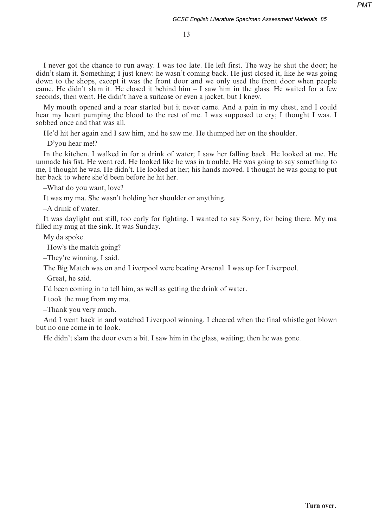I never got the chance to run away. I was too late. He left first. The way he shut the door; he didn't slam it. Something; I just knew: he wasn't coming back. He just closed it, like he was going down to the shops, except it was the front door and we only used the front door when people came. He didn't slam it. He closed it behind him  $-$  I saw him in the glass. He waited for a few seconds, then went. He didn't have a suitcase or even a jacket, but I knew.

My mouth opened and a roar started but it never came. And a pain in my chest, and I could hear my heart pumping the blood to the rest of me. I was supposed to cry; I thought I was. I sobbed once and that was all.

He'd hit her again and I saw him, and he saw me. He thumped her on the shoulder.

–D'you hear me!?

In the kitchen. I walked in for a drink of water; I saw her falling back. He looked at me. He unmade his fist. He went red. He looked like he was in trouble. He was going to say something to me, I thought he was. He didn't. He looked at her; his hands moved. I thought he was going to put her back to where she'd been before he hit her.

–What do you want, love?

It was my ma. She wasn't holding her shoulder or anything.

–A drink of water.

It was daylight out still, too early for fighting. I wanted to say Sorry, for being there. My ma filled my mug at the sink. It was Sunday.

My da spoke.

–How's the match going?

–They're winning, I said.

The Big Match was on and Liverpool were beating Arsenal. I was up for Liverpool.

–Great, he said.

I'd been coming in to tell him, as well as getting the drink of water.

I took the mug from my ma.

–Thank you very much.

And I went back in and watched Liverpool winning. I cheered when the final whistle got blown but no one come in to look.

He didn't slam the door even a bit. I saw him in the glass, waiting; then he was gone.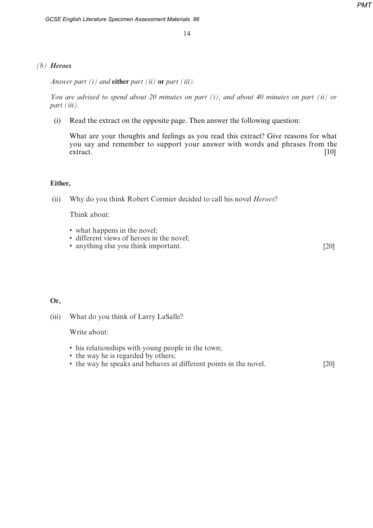### *(b) Heroes*

*Answer part (i) and* **either** *part (ii)* **or** *part (iii).*

*You are advised to spend about 20 minutes on part (i), and about 40 minutes on part (ii) or part (iii).*

(i) Read the extract on the opposite page. Then answer the following question:

What are your thoughts and feelings as you read this extract? Give reasons for what you say and remember to support your answer with words and phrases from the extract. [10]  $\text{extract.}$  [10]

#### **Either,**

(ii) Why do you think Robert Cormier decided to call his novel *Heroes*?

Think about:

- what happens in the novel;
- different views of heroes in the novel;
- anything else you think important. [20]

#### **Or,**

(iii) What do you think of Larry LaSalle?

Write about:

- his relationships with young people in the town;
- the way he is regarded by others;
- the way he speaks and behaves at different points in the novel. [20]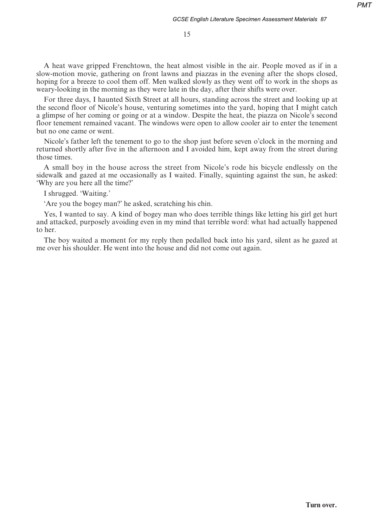A heat wave gripped Frenchtown, the heat almost visible in the air. People moved as if in a slow-motion movie, gathering on front lawns and piazzas in the evening after the shops closed, hoping for a breeze to cool them off. Men walked slowly as they went off to work in the shops as weary-looking in the morning as they were late in the day, after their shifts were over.

For three days, I haunted Sixth Street at all hours, standing across the street and looking up at the second floor of Nicole's house, venturing sometimes into the yard, hoping that I might catch a glimpse of her coming or going or at a window. Despite the heat, the piazza on Nicole's second floor tenement remained vacant. The windows were open to allow cooler air to enter the tenement but no one came or went.

Nicole's father left the tenement to go to the shop just before seven o'clock in the morning and returned shortly after five in the afternoon and I avoided him, kept away from the street during those times.

A small boy in the house across the street from Nicole's rode his bicycle endlessly on the sidewalk and gazed at me occasionally as I waited. Finally, squinting against the sun, he asked: 'Why are you here all the time?'

I shrugged. 'Waiting.'

'Are you the bogey man?' he asked, scratching his chin.

Yes, I wanted to say. A kind of bogey man who does terrible things like letting his girl get hurt and attacked, purposely avoiding even in my mind that terrible word: what had actually happened to her.

The boy waited a moment for my reply then pedalled back into his yard, silent as he gazed at me over his shoulder. He went into the house and did not come out again.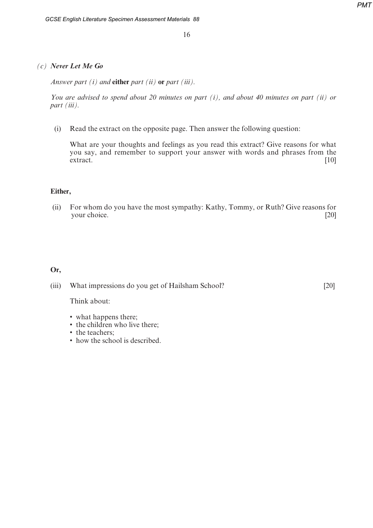## *(c) Never Let Me Go*

*Answer part (i) and* **either** *part (ii)* **or** *part (iii).*

*You are advised to spend about 20 minutes on part (i), and about 40 minutes on part (ii) or part (iii).*

(i) Read the extract on the opposite page. Then answer the following question:

What are your thoughts and feelings as you read this extract? Give reasons for what you say, and remember to support your answer with words and phrases from the  $\text{extract.}$  [10]

#### **Either,**

(ii) For whom do you have the most sympathy: Kathy, Tommy, or Ruth? Give reasons for your choice. [20]

### **Or,**

(iii) What impressions do you get of Hailsham School? [20]

Think about:

- what happens there;
- the children who live there;
- the teachers;
- how the school is described.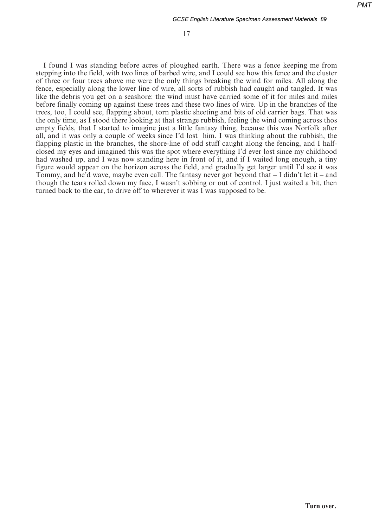I found I was standing before acres of ploughed earth. There was a fence keeping me from stepping into the field, with two lines of barbed wire, and I could see how this fence and the cluster of three or four trees above me were the only things breaking the wind for miles. All along the fence, especially along the lower line of wire, all sorts of rubbish had caught and tangled. It was like the debris you get on a seashore: the wind must have carried some of it for miles and miles before finally coming up against these trees and these two lines of wire. Up in the branches of the trees, too, I could see, flapping about, torn plastic sheeting and bits of old carrier bags. That was the only time, as I stood there looking at that strange rubbish, feeling the wind coming across thos empty fields, that I started to imagine just a little fantasy thing, because this was Norfolk after all, and it was only a couple of weeks since I'd lost him. I was thinking about the rubbish, the flapping plastic in the branches, the shore-line of odd stuff caught along the fencing, and I halfclosed my eyes and imagined this was the spot where everything I'd ever lost since my childhood had washed up, and I was now standing here in front of it, and if I waited long enough, a tiny figure would appear on the horizon across the field, and gradually get larger until I'd see it was Tommy, and he'd wave, maybe even call. The fantasy never got beyond that  $-1$  didn't let it – and though the tears rolled down my face, I wasn't sobbing or out of control. I just waited a bit, then turned back to the car, to drive off to wherever it was I was supposed to be.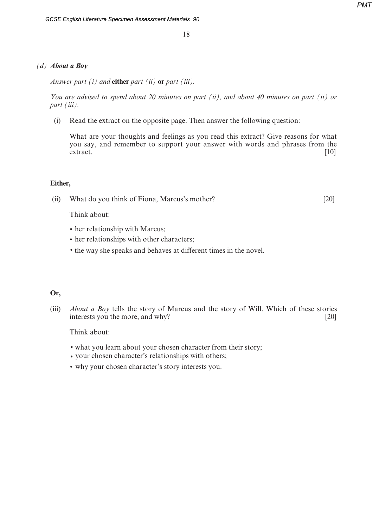## *(d) About a Boy*

*Answer part (i) and* **either** *part (ii)* **or** *part (iii).*

*You are advised to spend about 20 minutes on part (ii), and about 40 minutes on part (ii) or part (iii).*

(i) Read the extract on the opposite page. Then answer the following question:

What are your thoughts and feelings as you read this extract? Give reasons for what you say, and remember to support your answer with words and phrases from the extract. [10]  $\alpha$  extract. [10]

### **Either,**

(ii) What do you think of Fiona, Marcus's mother? [20]

Think about:

- her relationship with Marcus;
- her relationships with other characters;
- the way she speaks and behaves at different times in the novel.

# **Or,**

(iii) *About a Boy* tells the story of Marcus and the story of Will. Which of these stories interests you the more, and why? [20]

Think about:

- what you learn about your chosen character from their story;
- your chosen character's relationships with others;
- why your chosen character's story interests you.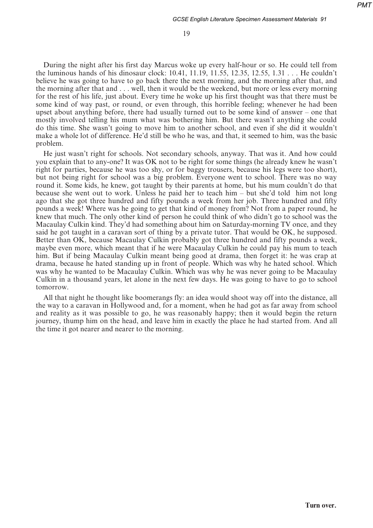During the night after his first day Marcus woke up every half-hour or so. He could tell from the luminous hands of his dinosaur clock: 10.41, 11.19, 11.55, 12.35, 12.55, 1.31 . . . He couldn't believe he was going to have to go back there the next morning, and the morning after that, and the morning after that and . . . well, then it would be the weekend, but more or less every morning for the rest of his life, just about. Every time he woke up his first thought was that there must be some kind of way past, or round, or even through, this horrible feeling; whenever he had been upset about anything before, there had usually turned out to be some kind of answer – one that mostly involved telling his mum what was bothering him. But there wasn't anything she could do this time. She wasn't going to move him to another school, and even if she did it wouldn't make a whole lot of difference. He'd still be who he was, and that, it seemed to him, was the basic problem.

He just wasn't right for schools. Not secondary schools, anyway. That was it. And how could you explain that to any-one? It was OK not to be right for some things (he already knew he wasn't right for parties, because he was too shy, or for baggy trousers, because his legs were too short), but not being right for school was a big problem. Everyone went to school. There was no way round it. Some kids, he knew, got taught by their parents at home, but his mum couldn't do that because she went out to work. Unless he paid her to teach him – but she'd told him not long ago that she got three hundred and fifty pounds a week from her job. Three hundred and fifty pounds a week! Where was he going to get that kind of money from? Not from a paper round, he knew that much. The only other kind of person he could think of who didn't go to school was the Macaulay Culkin kind. They'd had something about him on Saturday-morning TV once, and they said he got taught in a caravan sort of thing by a private tutor. That would be OK, he supposed. Better than OK, because Macaulay Culkin probably got three hundred and fifty pounds a week, maybe even more, which meant that if he were Macaulay Culkin he could pay his mum to teach him. But if being Macaulay Culkin meant being good at drama, then forget it: he was crap at drama, because he hated standing up in front of people. Which was why he hated school. Which was why he wanted to be Macaulay Culkin. Which was why he was never going to be Macaulay Culkin in a thousand years, let alone in the next few days. He was going to have to go to school tomorrow.

All that night he thought like boomerangs fly: an idea would shoot way off into the distance, all the way to a caravan in Hollywood and, for a moment, when he had got as far away from school and reality as it was possible to go, he was reasonably happy; then it would begin the return journey, thump him on the head, and leave him in exactly the place he had started from. And all the time it got nearer and nearer to the morning.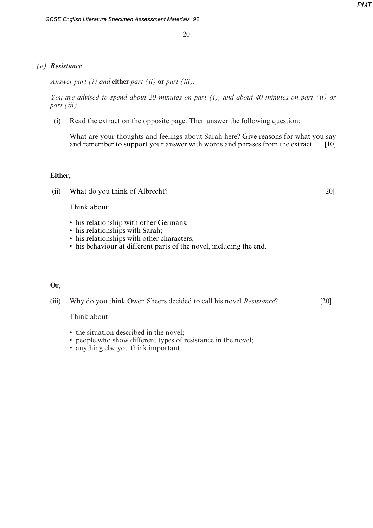## *(e) Resistance*

*Answer part (i) and* **either** *part (ii)* **or** *part (iii).*

*You are advised to spend about 20 minutes on part (i), and about 40 minutes on part (ii) or part (iii).*

(i) Read the extract on the opposite page. Then answer the following question:

What are your thoughts and feelings about Sarah here? Give reasons for what you say and remember to support your answer with words and phrases from the extract. [10]

## **Either,**

(ii) What do you think of Albrecht? [20]

Think about:

- his relationship with other Germans;
- his relationships with Sarah;
- his relationships with other characters;
- his behaviour at different parts of the novel, including the end.

# **Or,**

(iii) Why do you think Owen Sheers decided to call his novel *Resistance*? [20]

Think about:

- the situation described in the novel;
- people who show different types of resistance in the novel;
- anything else you think important.